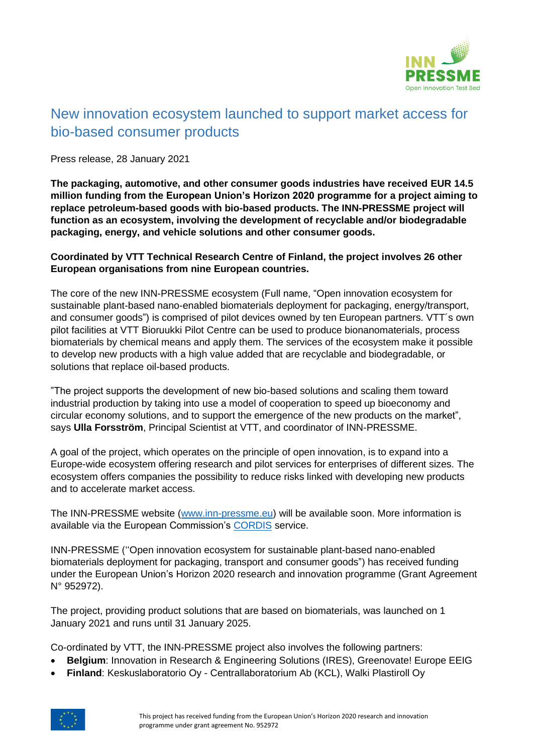

## New innovation ecosystem launched to support market access for bio-based consumer products

Press release, 28 January 2021

**The packaging, automotive, and other consumer goods industries have received EUR 14.5 million funding from the European Union's Horizon 2020 programme for a project aiming to replace petroleum-based goods with bio-based products. The INN-PRESSME project will function as an ecosystem, involving the development of recyclable and/or biodegradable packaging, energy, and vehicle solutions and other consumer goods.**

## **Coordinated by VTT Technical Research Centre of Finland, the project involves 26 other European organisations from nine European countries.**

The core of the new INN-PRESSME ecosystem (Full name, "Open innovation ecosystem for sustainable plant-based nano-enabled biomaterials deployment for packaging, energy/transport, and consumer goods") is comprised of pilot devices owned by ten European partners. VTT´s own pilot facilities at VTT Bioruukki Pilot Centre can be used to produce bionanomaterials, process biomaterials by chemical means and apply them. The services of the ecosystem make it possible to develop new products with a high value added that are recyclable and biodegradable, or solutions that replace oil-based products.

"The project supports the development of new bio-based solutions and scaling them toward industrial production by taking into use a model of cooperation to speed up bioeconomy and circular economy solutions, and to support the emergence of the new products on the market", says **Ulla Forsström**, Principal Scientist at VTT, and coordinator of INN-PRESSME.

A goal of the project, which operates on the principle of open innovation, is to expand into a Europe-wide ecosystem offering research and pilot services for enterprises of different sizes. The ecosystem offers companies the possibility to reduce risks linked with developing new products and to accelerate market access.

The INN-PRESSME website [\(www.inn-pressme.eu\)](http://www.inn-pressme.eu/) will be available soon. More information is available via the European Commission's [CORDIS](https://cordis.europa.eu/project/id/952972) service.

INN-PRESSME (''Open innovation ecosystem for sustainable plant-based nano-enabled biomaterials deployment for packaging, transport and consumer goods") has received funding under the European Union's Horizon 2020 research and innovation programme (Grant Agreement N° 952972).

The project, providing product solutions that are based on biomaterials, was launched on 1 January 2021 and runs until 31 January 2025.

Co-ordinated by VTT, the INN-PRESSME project also involves the following partners:

- **Belgium**: Innovation in Research & Engineering Solutions (IRES), Greenovate! Europe EEIG
- **Finland**: Keskuslaboratorio Oy Centrallaboratorium Ab (KCL), Walki Plastiroll Oy

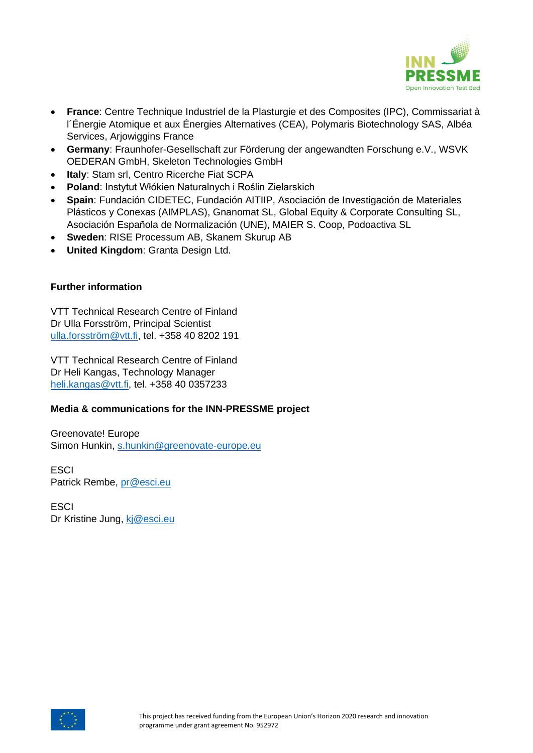

- **France**: Centre Technique Industriel de la Plasturgie et des Composites (IPC), Commissariat à l´Énergie Atomique et aux Énergies Alternatives (CEA), Polymaris Biotechnology SAS, Albéa Services, Arjowiggins France
- **Germany**: Fraunhofer-Gesellschaft zur Förderung der angewandten Forschung e.V., WSVK OEDERAN GmbH, Skeleton Technologies GmbH
- **Italy**: Stam srl, Centro Ricerche Fiat SCPA
- **Poland**: Instytut Włókien Naturalnych i Roślin Zielarskich
- **Spain**: Fundación CIDETEC, Fundación AITIIP, Asociación de Investigación de Materiales Plásticos y Conexas (AIMPLAS), Gnanomat SL, Global Equity & Corporate Consulting SL, Asociación Española de Normalización (UNE), MAIER S. Coop, Podoactiva SL
- **Sweden**: RISE Processum AB, Skanem Skurup AB
- **United Kingdom**: Granta Design Ltd.

## **Further information**

VTT Technical Research Centre of Finland Dr Ulla Forsström, Principal Scientist [ulla.forsström@vtt.fi,](mailto:ulla.forsström@vtt.fi) tel. +358 40 8202 191

VTT Technical Research Centre of Finland Dr Heli Kangas, Technology Manager [heli.kangas@vtt.fi,](mailto:heli.kangas@vtt.fi) tel. +358 40 0357233

## **Media & communications for the INN-PRESSME project**

Greenovate! Europe Simon Hunkin, [s.hunkin@greenovate-europe.eu](mailto:s.hunkin@greenovate-europe.eu)

**ESCI** Patrick Rembe, [pr@esci.eu](mailto:pr@esci.eu)

**FSCI** Dr Kristine Jung, [kj@esci.eu](mailto:kj@esci.eu)